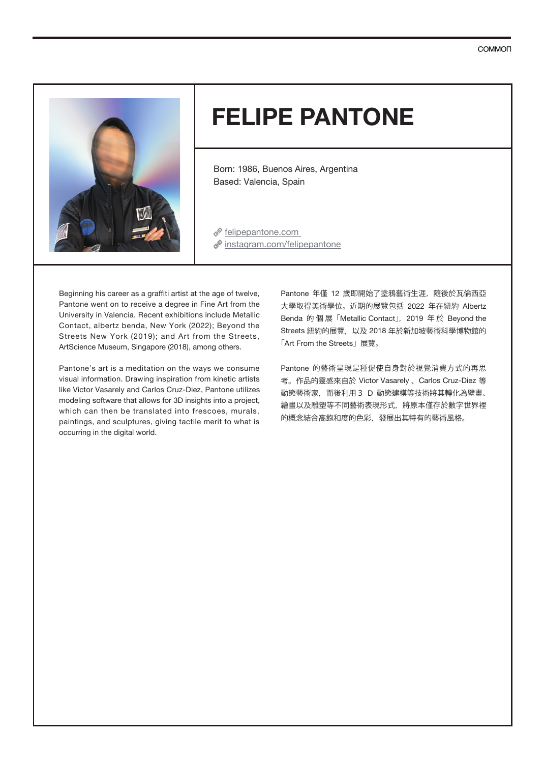

# **FELIPE PANTONE**

Born: 1986, Buenos Aires, Argentina Based: Valencia, Spain

*P* felipepantone.com  $\mathscr P$  instagram.com/felipepantone

Beginning his career as a graffiti artist at the age of twelve, Pantone went on to receive a degree in Fine Art from the University in Valencia. Recent exhibitions include Metallic Contact, albertz benda, New York (2022); Beyond the Streets New York (2019); and Art from the Streets, ArtScience Museum, Singapore (2018), among others.

Pantone's art is a meditation on the ways we consume visual information. Drawing inspiration from kinetic artists like Victor Vasarely and Carlos Cruz-Diez, Pantone utilizes modeling software that allows for 3D insights into a project, which can then be translated into frescoes, murals, paintings, and sculptures, giving tactile merit to what is occurring in the digital world.

Pantone 年僅 12 歲即開始了塗鴉藝術生涯, 隨後於瓦倫西亞 大學取得美術學位。近期的展覽包括 2022 年在紐約 Albertz Benda 的個展「Metallic Contact」, 2019 年於 Beyond the Streets 紐約的展覽,以及 2018 年於新加坡藝術科學博物館的 「Art From the Streets」展覽。

Pantone 的藝術呈現是種促使自身對於視覺消費方式的再思 考。作品的靈感來自於 Victor Vasarely 、Carlos Cruz-Diez 等 動態藝術家,而後利用3 D 動態建模等技術將其轉化為壁畫、 繪畫以及雕塑等不同藝術表現形式,將原本僅存於數字世界裡 的概念結合高飽和度的色彩,發展出其特有的藝術風格。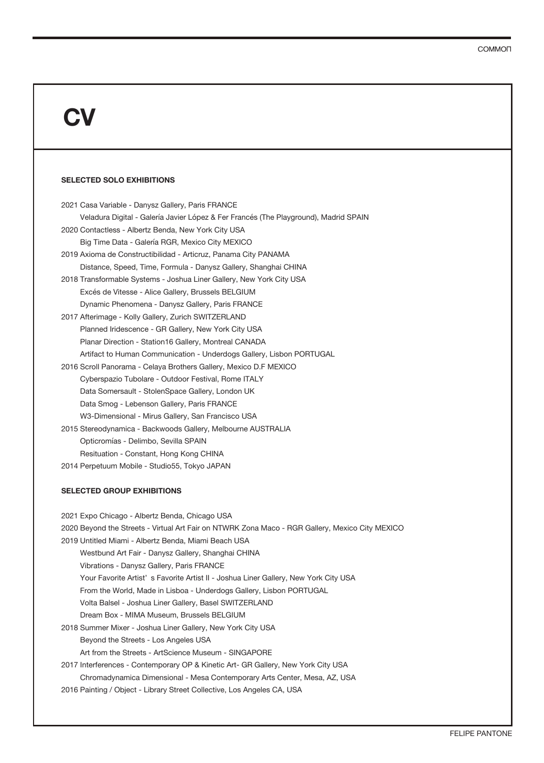# **CV**

### **SELECTED SOLO EXHIBITIONS**

| 2021 Casa Variable - Danysz Gallery, Paris FRANCE                                    |
|--------------------------------------------------------------------------------------|
| Veladura Digital - Galería Javier López & Fer Francés (The Playground), Madrid SPAIN |
| 2020 Contactless - Albertz Benda, New York City USA                                  |
| Big Time Data - Galería RGR, Mexico City MEXICO                                      |
| 2019 Axioma de Constructibilidad - Articruz, Panama City PANAMA                      |
| Distance, Speed, Time, Formula - Danysz Gallery, Shanghai CHINA                      |
| 2018 Transformable Systems - Joshua Liner Gallery, New York City USA                 |
| Excés de Vitesse - Alice Gallery, Brussels BELGIUM                                   |
| Dynamic Phenomena - Danysz Gallery, Paris FRANCE                                     |
| 2017 Afterimage - Kolly Gallery, Zurich SWITZERLAND                                  |
| Planned Iridescence - GR Gallery, New York City USA                                  |
| Planar Direction - Station16 Gallery, Montreal CANADA                                |
| Artifact to Human Communication - Underdogs Gallery, Lisbon PORTUGAL                 |
| 2016 Scroll Panorama - Celaya Brothers Gallery, Mexico D.F MEXICO                    |
| Cyberspazio Tubolare - Outdoor Festival, Rome ITALY                                  |
| Data Somersault - StolenSpace Gallery, London UK                                     |
| Data Smog - Lebenson Gallery, Paris FRANCE                                           |
| W3-Dimensional - Mirus Gallery, San Francisco USA                                    |
| 2015 Stereodynamica - Backwoods Gallery, Melbourne AUSTRALIA                         |
| Opticromías - Delimbo, Sevilla SPAIN                                                 |
| Resituation - Constant, Hong Kong CHINA                                              |
| 2014 Perpetuum Mobile - Studio55, Tokyo JAPAN                                        |

#### **SELECTED GROUP EXHIBITIONS**

| 2021 Expo Chicago - Albertz Benda, Chicago USA                                                  |
|-------------------------------------------------------------------------------------------------|
| 2020 Beyond the Streets - Virtual Art Fair on NTWRK Zona Maco - RGR Gallery, Mexico City MEXICO |
| 2019 Untitled Miami - Albertz Benda, Miami Beach USA                                            |
| Westbund Art Fair - Danysz Gallery, Shanghai CHINA                                              |
| Vibrations - Danysz Gallery, Paris FRANCE                                                       |
| Your Favorite Artist's Favorite Artist II - Joshua Liner Gallery, New York City USA             |
| From the World, Made in Lisboa - Underdogs Gallery, Lisbon PORTUGAL                             |
| Volta Balsel - Joshua Liner Gallery, Basel SWITZERLAND                                          |
| Dream Box - MIMA Museum, Brussels BELGIUM                                                       |
| 2018 Summer Mixer - Joshua Liner Gallery, New York City USA                                     |
| Beyond the Streets - Los Angeles USA                                                            |
| Art from the Streets - ArtScience Museum - SINGAPORE                                            |
| 2017 Interferences - Contemporary OP & Kinetic Art- GR Gallery, New York City USA               |
| Chromadynamica Dimensional - Mesa Contemporary Arts Center, Mesa, AZ, USA                       |
| 2016 Painting / Object - Library Street Collective, Los Angeles CA, USA                         |